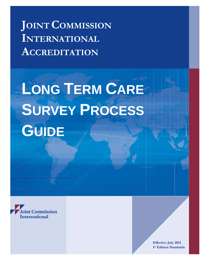**JOINT COMMISSION INTERNATIONAL ACCREDITATION** 

**LONG TERM CARE SURVEY PROCESS GUIDE**



**Effective July 2012 1st Edition Standards**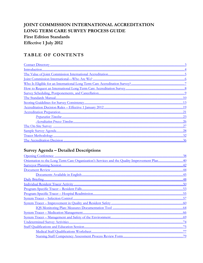# JOINT COMMISSION INTERNATIONAL ACCREDITATION LONG TERM CARE SURVEY PROCESS GUIDE **First Edition Standards** Effective 1 July 2012

## **TABLE OF CONTENTS**

## Survey Agenda - Detailed Descriptions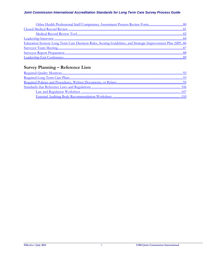### Joint Commission International Accreditation Standards for Long Term Care Survey Process Guide

| Education Session: Long Term Care Decision Rules, Scoring Guidelines, and Strategic Improvement Plan (SIP)86 |  |
|--------------------------------------------------------------------------------------------------------------|--|
|                                                                                                              |  |
|                                                                                                              |  |
|                                                                                                              |  |

## **Survey Planning - Reference Lists**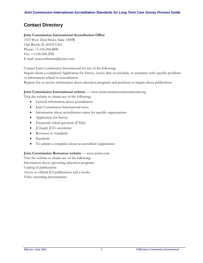# <span id="page-3-0"></span>**Contact Directory**

### **Joint Commission International Accreditation Office**

1515 West 22nd Street, Suite 1300W Oak Brook, IL 60523 USA Phone: +1.630.268.4800 Fax: +1.630.268.2996 E-mail: jciaccreditation@jcrinc.com

Contact Joint Commission International for any of the following:

Inquire about a completed Application for Survey, survey date or schedule, or assistance with specific problems or information related to accreditation

Register for or receive information about education programs and purchase or inquire about publications

### **Joint Commission International website** — www.jointcommissioninternational.org

Visit the website to obtain any of the following:

- General information about accreditation
- Joint Commission International news
- Information about accreditation status for specific organizations
- Application for Survey
- Frequently asked questions (FAQs)
- *JCInsight,* JCI's newsletter
- Revisions to standards
- Standards
- To submit a complaint about an accredited organization

### **Joint Commission Resources website** — www.jcrinc.com

Visit the website to obtain any of the following: Information about upcoming education programs Catalog of publications Access to official JCI publications and e-books Video streaming presentations